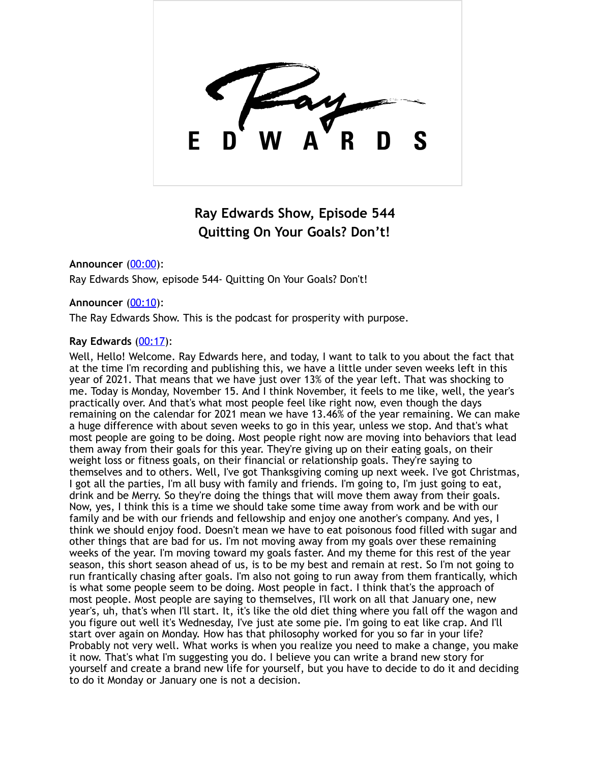

# **Ray Edwards Show, Episode 544 Quitting On Your Goals? Don't!**

**Announcer** [\(00:00](https://www.temi.com/editor/t/hXV9mgwpRZ1dGZAGWk_hAtNrc2VT-JFc20xhUKytb2Oqq5xTil-sH7BZnRSjcUUtKvIHKsniq_cD1Suv4vSOXFJm2LA?loadFrom=DocumentDeeplink&ts=0.99)): Ray Edwards Show, episode 544- Quitting On Your Goals? Don't!

## **Announcer** [\(00:10](https://www.temi.com/editor/t/hXV9mgwpRZ1dGZAGWk_hAtNrc2VT-JFc20xhUKytb2Oqq5xTil-sH7BZnRSjcUUtKvIHKsniq_cD1Suv4vSOXFJm2LA?loadFrom=DocumentDeeplink&ts=10.02)):

The Ray Edwards Show. This is the podcast for prosperity with purpose.

## **Ray Edwards** [\(00:17](https://www.temi.com/editor/t/hXV9mgwpRZ1dGZAGWk_hAtNrc2VT-JFc20xhUKytb2Oqq5xTil-sH7BZnRSjcUUtKvIHKsniq_cD1Suv4vSOXFJm2LA?loadFrom=DocumentDeeplink&ts=17.94)):

Well, Hello! Welcome. Ray Edwards here, and today, I want to talk to you about the fact that at the time I'm recording and publishing this, we have a little under seven weeks left in this year of 2021. That means that we have just over 13% of the year left. That was shocking to me. Today is Monday, November 15. And I think November, it feels to me like, well, the year's practically over. And that's what most people feel like right now, even though the days remaining on the calendar for 2021 mean we have 13.46% of the year remaining. We can make a huge difference with about seven weeks to go in this year, unless we stop. And that's what most people are going to be doing. Most people right now are moving into behaviors that lead them away from their goals for this year. They're giving up on their eating goals, on their weight loss or fitness goals, on their financial or relationship goals. They're saying to themselves and to others. Well, I've got Thanksgiving coming up next week. I've got Christmas, I got all the parties, I'm all busy with family and friends. I'm going to, I'm just going to eat, drink and be Merry. So they're doing the things that will move them away from their goals. Now, yes, I think this is a time we should take some time away from work and be with our family and be with our friends and fellowship and enjoy one another's company. And yes, I think we should enjoy food. Doesn't mean we have to eat poisonous food filled with sugar and other things that are bad for us. I'm not moving away from my goals over these remaining weeks of the year. I'm moving toward my goals faster. And my theme for this rest of the year season, this short season ahead of us, is to be my best and remain at rest. So I'm not going to run frantically chasing after goals. I'm also not going to run away from them frantically, which is what some people seem to be doing. Most people in fact. I think that's the approach of most people. Most people are saying to themselves, I'll work on all that January one, new year's, uh, that's when I'll start. It, it's like the old diet thing where you fall off the wagon and you figure out well it's Wednesday, I've just ate some pie. I'm going to eat like crap. And I'll start over again on Monday. How has that philosophy worked for you so far in your life? Probably not very well. What works is when you realize you need to make a change, you make it now. That's what I'm suggesting you do. I believe you can write a brand new story for yourself and create a brand new life for yourself, but you have to decide to do it and deciding to do it Monday or January one is not a decision.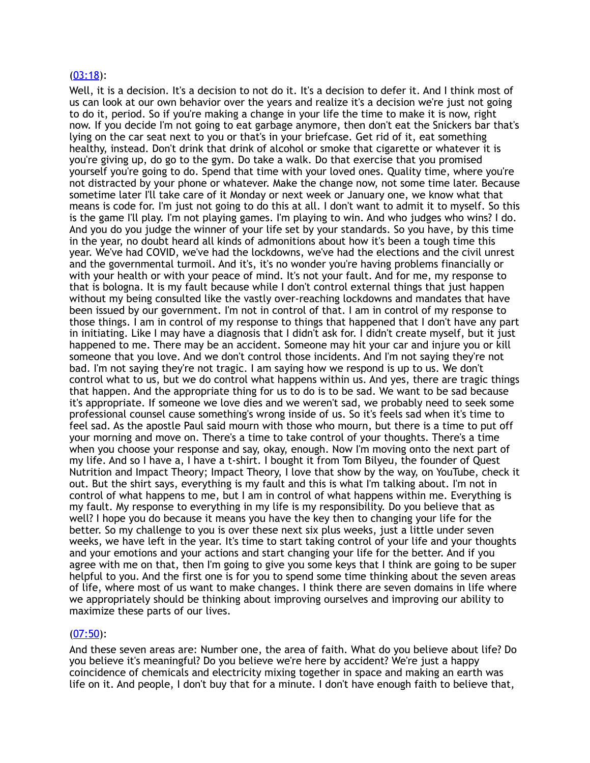#### [\(03:18](https://www.temi.com/editor/t/hXV9mgwpRZ1dGZAGWk_hAtNrc2VT-JFc20xhUKytb2Oqq5xTil-sH7BZnRSjcUUtKvIHKsniq_cD1Suv4vSOXFJm2LA?loadFrom=DocumentDeeplink&ts=198.13)):

Well, it is a decision. It's a decision to not do it. It's a decision to defer it. And I think most of us can look at our own behavior over the years and realize it's a decision we're just not going to do it, period. So if you're making a change in your life the time to make it is now, right now. If you decide I'm not going to eat garbage anymore, then don't eat the Snickers bar that's lying on the car seat next to you or that's in your briefcase. Get rid of it, eat something healthy, instead. Don't drink that drink of alcohol or smoke that cigarette or whatever it is you're giving up, do go to the gym. Do take a walk. Do that exercise that you promised yourself you're going to do. Spend that time with your loved ones. Quality time, where you're not distracted by your phone or whatever. Make the change now, not some time later. Because sometime later I'll take care of it Monday or next week or January one, we know what that means is code for. I'm just not going to do this at all. I don't want to admit it to myself. So this is the game I'll play. I'm not playing games. I'm playing to win. And who judges who wins? I do. And you do you judge the winner of your life set by your standards. So you have, by this time in the year, no doubt heard all kinds of admonitions about how it's been a tough time this year. We've had COVID, we've had the lockdowns, we've had the elections and the civil unrest and the governmental turmoil. And it's, it's no wonder you're having problems financially or with your health or with your peace of mind. It's not your fault. And for me, my response to that is bologna. It is my fault because while I don't control external things that just happen without my being consulted like the vastly over-reaching lockdowns and mandates that have been issued by our government. I'm not in control of that. I am in control of my response to those things. I am in control of my response to things that happened that I don't have any part in initiating. Like I may have a diagnosis that I didn't ask for. I didn't create myself, but it just happened to me. There may be an accident. Someone may hit your car and injure you or kill someone that you love. And we don't control those incidents. And I'm not saying they're not bad. I'm not saying they're not tragic. I am saying how we respond is up to us. We don't control what to us, but we do control what happens within us. And yes, there are tragic things that happen. And the appropriate thing for us to do is to be sad. We want to be sad because it's appropriate. If someone we love dies and we weren't sad, we probably need to seek some professional counsel cause something's wrong inside of us. So it's feels sad when it's time to feel sad. As the apostle Paul said mourn with those who mourn, but there is a time to put off your morning and move on. There's a time to take control of your thoughts. There's a time when you choose your response and say, okay, enough. Now I'm moving onto the next part of my life. And so I have a, I have a t-shirt. I bought it from Tom Bilyeu, the founder of Quest Nutrition and Impact Theory; Impact Theory, I love that show by the way, on YouTube, check it out. But the shirt says, everything is my fault and this is what I'm talking about. I'm not in control of what happens to me, but I am in control of what happens within me. Everything is my fault. My response to everything in my life is my responsibility. Do you believe that as well? I hope you do because it means you have the key then to changing your life for the better. So my challenge to you is over these next six plus weeks, just a little under seven weeks, we have left in the year. It's time to start taking control of your life and your thoughts and your emotions and your actions and start changing your life for the better. And if you agree with me on that, then I'm going to give you some keys that I think are going to be super helpful to you. And the first one is for you to spend some time thinking about the seven areas of life, where most of us want to make changes. I think there are seven domains in life where we appropriately should be thinking about improving ourselves and improving our ability to maximize these parts of our lives.

### $(07:50)$  $(07:50)$ :

And these seven areas are: Number one, the area of faith. What do you believe about life? Do you believe it's meaningful? Do you believe we're here by accident? We're just a happy coincidence of chemicals and electricity mixing together in space and making an earth was life on it. And people, I don't buy that for a minute. I don't have enough faith to believe that,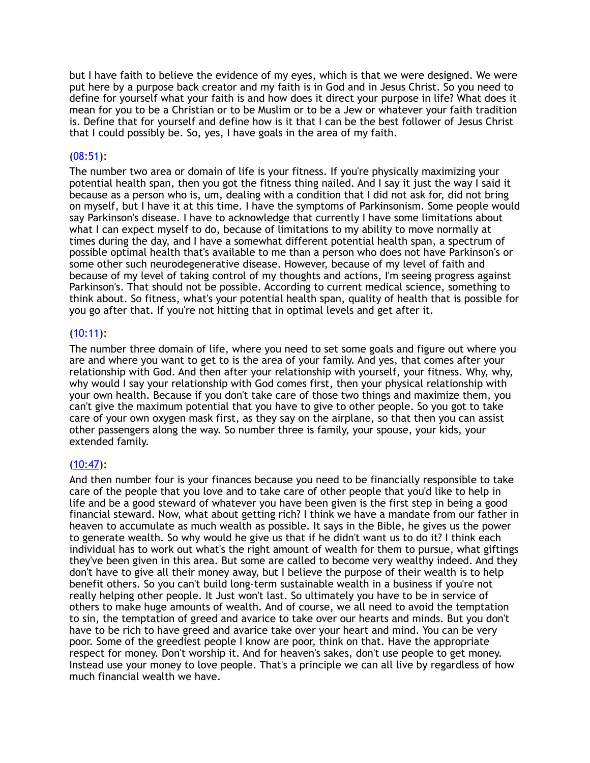but I have faith to believe the evidence of my eyes, which is that we were designed. We were put here by a purpose back creator and my faith is in God and in Jesus Christ. So you need to define for yourself what your faith is and how does it direct your purpose in life? What does it mean for you to be a Christian or to be Muslim or to be a Jew or whatever your faith tradition is. Define that for yourself and define how is it that I can be the best follower of Jesus Christ that I could possibly be. So, yes, I have goals in the area of my faith.

## [\(08:51](https://www.temi.com/editor/t/hXV9mgwpRZ1dGZAGWk_hAtNrc2VT-JFc20xhUKytb2Oqq5xTil-sH7BZnRSjcUUtKvIHKsniq_cD1Suv4vSOXFJm2LA?loadFrom=DocumentDeeplink&ts=531.32)):

The number two area or domain of life is your fitness. If you're physically maximizing your potential health span, then you got the fitness thing nailed. And I say it just the way I said it because as a person who is, um, dealing with a condition that I did not ask for, did not bring on myself, but I have it at this time. I have the symptoms of Parkinsonism. Some people would say Parkinson's disease. I have to acknowledge that currently I have some limitations about what I can expect myself to do, because of limitations to my ability to move normally at times during the day, and I have a somewhat different potential health span, a spectrum of possible optimal health that's available to me than a person who does not have Parkinson's or some other such neurodegenerative disease. However, because of my level of faith and because of my level of taking control of my thoughts and actions, I'm seeing progress against Parkinson's. That should not be possible. According to current medical science, something to think about. So fitness, what's your potential health span, quality of health that is possible for you go after that. If you're not hitting that in optimal levels and get after it.

## $(10:11)$  $(10:11)$ :

The number three domain of life, where you need to set some goals and figure out where you are and where you want to get to is the area of your family. And yes, that comes after your relationship with God. And then after your relationship with yourself, your fitness. Why, why, why would I say your relationship with God comes first, then your physical relationship with your own health. Because if you don't take care of those two things and maximize them, you can't give the maximum potential that you have to give to other people. So you got to take care of your own oxygen mask first, as they say on the airplane, so that then you can assist other passengers along the way. So number three is family, your spouse, your kids, your extended family.

### $(10:47)$  $(10:47)$ :

And then number four is your finances because you need to be financially responsible to take care of the people that you love and to take care of other people that you'd like to help in life and be a good steward of whatever you have been given is the first step in being a good financial steward. Now, what about getting rich? I think we have a mandate from our father in heaven to accumulate as much wealth as possible. It says in the Bible, he gives us the power to generate wealth. So why would he give us that if he didn't want us to do it? I think each individual has to work out what's the right amount of wealth for them to pursue, what giftings they've been given in this area. But some are called to become very wealthy indeed. And they don't have to give all their money away, but I believe the purpose of their wealth is to help benefit others. So you can't build long-term sustainable wealth in a business if you're not really helping other people. It Just won't last. So ultimately you have to be in service of others to make huge amounts of wealth. And of course, we all need to avoid the temptation to sin, the temptation of greed and avarice to take over our hearts and minds. But you don't have to be rich to have greed and avarice take over your heart and mind. You can be very poor. Some of the greediest people I know are poor, think on that. Have the appropriate respect for money. Don't worship it. And for heaven's sakes, don't use people to get money. Instead use your money to love people. That's a principle we can all live by regardless of how much financial wealth we have.